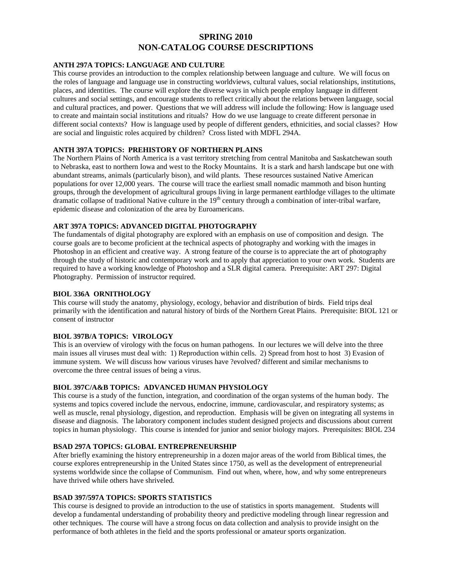# **SPRING 2010 NON-CATALOG COURSE DESCRIPTIONS**

#### **ANTH 297A TOPICS: LANGUAGE AND CULTURE**

This course provides an introduction to the complex relationship between language and culture. We will focus on the roles of language and language use in constructing worldviews, cultural values, social relationships, institutions, places, and identities. The course will explore the diverse ways in which people employ language in different cultures and social settings, and encourage students to reflect critically about the relations between language, social and cultural practices, and power. Questions that we will address will include the following: How is language used to create and maintain social institutions and rituals? How do we use language to create different personae in different social contexts? How is language used by people of different genders, ethnicities, and social classes? How are social and linguistic roles acquired by children? Cross listed with MDFL 294A.

#### **ANTH 397A TOPICS: PREHISTORY OF NORTHERN PLAINS**

The Northern Plains of North America is a vast territory stretching from central Manitoba and Saskatchewan south to Nebraska, east to northern Iowa and west to the Rocky Mountains. It is a stark and harsh landscape but one with abundant streams, animals (particularly bison), and wild plants. These resources sustained Native American populations for over 12,000 years. The course will trace the earliest small nomadic mammoth and bison hunting groups, through the development of agricultural groups living in large permanent earthlodge villages to the ultimate dramatic collapse of traditional Native culture in the  $19<sup>th</sup>$  century through a combination of inter-tribal warfare, epidemic disease and colonization of the area by Euroamericans.

#### **ART 397A TOPICS: ADVANCED DIGITAL PHOTOGRAPHY**

The fundamentals of digital photography are explored with an emphasis on use of composition and design. The course goals are to become proficient at the technical aspects of photography and working with the images in Photoshop in an efficient and creative way. A strong feature of the course is to appreciate the art of photography through the study of historic and contemporary work and to apply that appreciation to your own work. Students are required to have a working knowledge of Photoshop and a SLR digital camera. Prerequisite: ART 297: Digital Photography. Permission of instructor required.

#### **BIOL 336A ORNITHOLOGY**

This course will study the anatomy, physiology, ecology, behavior and distribution of birds. Field trips deal primarily with the identification and natural history of birds of the Northern Great Plains. Prerequisite: BIOL 121 or consent of instructor

### **BIOL 397B/A TOPICS: VIROLOGY**

This is an overview of virology with the focus on human pathogens. In our lectures we will delve into the three main issues all viruses must deal with: 1) Reproduction within cells. 2) Spread from host to host 3) Evasion of immune system. We will discuss how various viruses have ?evolved? different and similar mechanisms to overcome the three central issues of being a virus.

#### **BIOL 397C/A&B TOPICS: ADVANCED HUMAN PHYSIOLOGY**

This course is a study of the function, integration, and coordination of the organ systems of the human body. The systems and topics covered include the nervous, endocrine, immune, cardiovascular, and respiratory systems; as well as muscle, renal physiology, digestion, and reproduction. Emphasis will be given on integrating all systems in disease and diagnosis. The laboratory component includes student designed projects and discussions about current topics in human physiology. This course is intended for junior and senior biology majors. Prerequisites: BIOL 234

#### **BSAD 297A TOPICS: GLOBAL ENTREPRENEURSHIP**

After briefly examining the history entrepreneurship in a dozen major areas of the world from Biblical times, the course explores entrepreneurship in the United States since 1750, as well as the development of entrepreneurial systems worldwide since the collapse of Communism. Find out when, where, how, and why some entrepreneurs have thrived while others have shriveled.

#### **BSAD 397/597A TOPICS: SPORTS STATISTICS**

This course is designed to provide an introduction to the use of statistics in sports management. Students will develop a fundamental understanding of probability theory and predictive modeling through linear regression and other techniques. The course will have a strong focus on data collection and analysis to provide insight on the performance of both athletes in the field and the sports professional or amateur sports organization.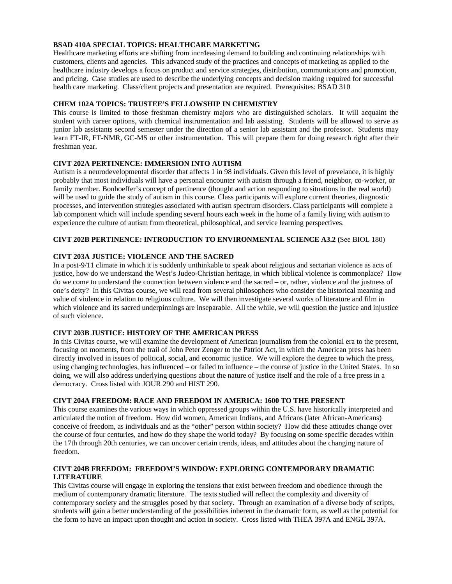## **BSAD 410A SPECIAL TOPICS: HEALTHCARE MARKETING**

Healthcare marketing efforts are shifting from incr4easing demand to building and continuing relationships with customers, clients and agencies. This advanced study of the practices and concepts of marketing as applied to the healthcare industry develops a focus on product and service strategies, distribution, communications and promotion, and pricing. Case studies are used to describe the underlying concepts and decision making required for successful health care marketing. Class/client projects and presentation are required. Prerequisites: BSAD 310

# **CHEM 102A TOPICS: TRUSTEE'S FELLOWSHIP IN CHEMISTRY**

This course is limited to those freshman chemistry majors who are distinguished scholars. It will acquaint the student with career options, with chemical instrumentation and lab assisting. Students will be allowed to serve as junior lab assistants second semester under the direction of a senior lab assistant and the professor. Students may learn FT-IR, FT-NMR, GC-MS or other instrumentation. This will prepare them for doing research right after their freshman year.

#### **CIVT 202A PERTINENCE: IMMERSION INTO AUTISM**

Autism is a neurodevelopmental disorder that affects 1 in 98 individuals. Given this level of prevelance, it is highly probably that most individuals will have a personal encounter with autism through a friend, neighbor, co-worker, or family member. Bonhoeffer's concept of pertinence (thought and action responding to situations in the real world) will be used to guide the study of autism in this course. Class participants will explore current theories, diagnostic processes, and intervention strategies associated with autism spectrum disorders. Class participants will complete a lab component which will include spending several hours each week in the home of a family living with autism to experience the culture of autism from theoretical, philosophical, and service learning perspectives.

### **CIVT 202B PERTINENCE: INTRODUCTION TO ENVIRONMENTAL SCIENCE A3.2 (**See BIOL 180)

### **CIVT 203A JUSTICE: VIOLENCE AND THE SACRED**

In a post-9/11 climate in which it is suddenly unthinkable to speak about religious and sectarian violence as acts of justice, how do we understand the West's Judeo-Christian heritage, in which biblical violence is commonplace? How do we come to understand the connection between violence and the sacred – or, rather, violence and the justness of one's deity? In this Civitas course, we will read from several philosophers who consider the historical meaning and value of violence in relation to religious culture. We will then investigate several works of literature and film in which violence and its sacred underpinnings are inseparable. All the while, we will question the justice and injustice of such violence.

### **CIVT 203B JUSTICE: HISTORY OF THE AMERICAN PRESS**

In this Civitas course, we will examine the development of American journalism from the colonial era to the present, focusing on moments, from the trail of John Peter Zenger to the Patriot Act, in which the American press has been directly involved in issues of political, social, and economic justice. We will explore the degree to which the press, using changing technologies, has influenced – or failed to influence – the course of justice in the United States. In so doing, we will also address underlying questions about the nature of justice itself and the role of a free press in a democracy. Cross listed with JOUR 290 and HIST 290.

### **CIVT 204A FREEDOM: RACE AND FREEDOM IN AMERICA: 1600 TO THE PRESENT**

This course examines the various ways in which oppressed groups within the U.S. have historically interpreted and articulated the notion of freedom. How did women, American Indians, and Africans (later African-Americans) conceive of freedom, as individuals and as the "other" person within society? How did these attitudes change over the course of four centuries, and how do they shape the world today? By focusing on some specific decades within the 17th through 20th centuries, we can uncover certain trends, ideas, and attitudes about the changing nature of freedom.

### **CIVT 204B FREEDOM: FREEDOM'S WINDOW: EXPLORING CONTEMPORARY DRAMATIC LITERATURE**

This Civitas course will engage in exploring the tensions that exist between freedom and obedience through the medium of contemporary dramatic literature. The texts studied will reflect the complexity and diversity of contemporary society and the struggles posed by that society. Through an examination of a diverse body of scripts, students will gain a better understanding of the possibilities inherent in the dramatic form, as well as the potential for the form to have an impact upon thought and action in society. Cross listed with THEA 397A and ENGL 397A.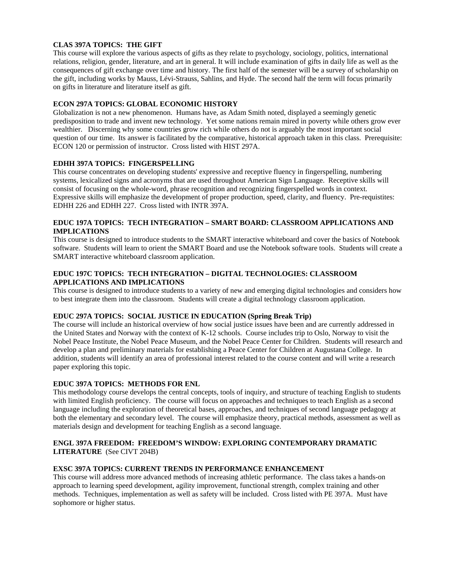# **CLAS 397A TOPICS: THE GIFT**

This course will explore the various aspects of gifts as they relate to psychology, sociology, politics, international relations, religion, gender, literature, and art in general. It will include examination of gifts in daily life as well as the consequences of gift exchange over time and history. The first half of the semester will be a survey of scholarship on the gift, including works by Mauss, Lévi-Strauss, Sahlins, and Hyde. The second half the term will focus primarily on gifts in literature and literature itself as gift.

#### **ECON 297A TOPICS: GLOBAL ECONOMIC HISTORY**

Globalization is not a new phenomenon. Humans have, as Adam Smith noted, displayed a seemingly genetic predisposition to trade and invent new technology. Yet some nations remain mired in poverty while others grow ever wealthier. Discerning why some countries grow rich while others do not is arguably the most important social question of our time. Its answer is facilitated by the comparative, historical approach taken in this class. Prerequisite: ECON 120 or permission of instructor. Cross listed with HIST 297A.

#### **EDHH 397A TOPICS: FINGERSPELLING**

This course concentrates on developing students' expressive and receptive fluency in fingerspelling, numbering systems, lexicalized signs and acronyms that are used throughout American Sign Language. Receptive skills will consist of focusing on the whole-word, phrase recognition and recognizing fingerspelled words in context. Expressive skills will emphasize the development of proper production, speed, clarity, and fluency. Pre-requistites: EDHH 226 and EDHH 227. Cross listed with INTR 397A.

### **EDUC 197A TOPICS: TECH INTEGRATION – SMART BOARD: CLASSROOM APPLICATIONS AND IMPLICATIONS**

This course is designed to introduce students to the SMART interactive whiteboard and cover the basics of Notebook software. Students will learn to orient the SMART Board and use the Notebook software tools. Students will create a SMART interactive whiteboard classroom application.

### **EDUC 197C TOPICS: TECH INTEGRATION – DIGITAL TECHNOLOGIES: CLASSROOM APPLICATIONS AND IMPLICATIONS**

This course is designed to introduce students to a variety of new and emerging digital technologies and considers how to best integrate them into the classroom. Students will create a digital technology classroom application.

# **EDUC 297A TOPICS: SOCIAL JUSTICE IN EDUCATION (Spring Break Trip)**

The course will include an historical overview of how social justice issues have been and are currently addressed in the United States and Norway with the context of K-12 schools. Course includes trip to Oslo, Norway to visit the Nobel Peace Institute, the Nobel Peace Museum, and the Nobel Peace Center for Children. Students will research and develop a plan and preliminary materials for establishing a Peace Center for Children at Augustana College. In addition, students will identify an area of professional interest related to the course content and will write a research paper exploring this topic.

#### **EDUC 397A TOPICS: METHODS FOR ENL**

This methodology course develops the central concepts, tools of inquiry, and structure of teaching English to students with limited English proficiency. The course will focus on approaches and techniques to teach English as a second language including the exploration of theoretical bases, approaches, and techniques of second language pedagogy at both the elementary and secondary level. The course will emphasize theory, practical methods, assessment as well as materials design and development for teaching English as a second language.

### **ENGL 397A FREEDOM: FREEDOM'S WINDOW: EXPLORING CONTEMPORARY DRAMATIC LITERATURE** (See CIVT 204B)

#### **EXSC 397A TOPICS: CURRENT TRENDS IN PERFORMANCE ENHANCEMENT**

This course will address more advanced methods of increasing athletic performance. The class takes a hands-on approach to learning speed development, agility improvement, functional strength, complex training and other methods. Techniques, implementation as well as safety will be included. Cross listed with PE 397A. Must have sophomore or higher status.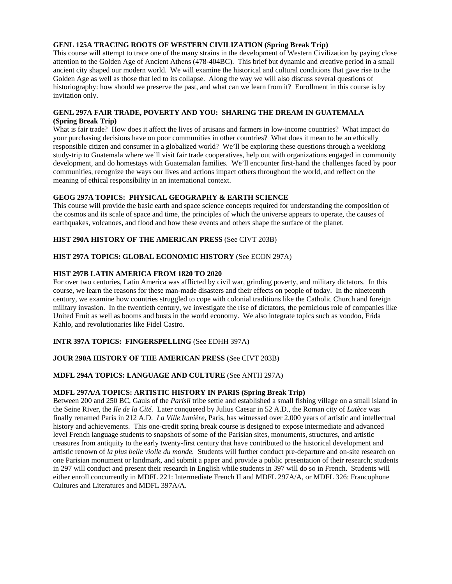## **GENL 125A TRACING ROOTS OF WESTERN CIVILIZATION (Spring Break Trip)**

This course will attempt to trace one of the many strains in the development of Western Civilization by paying close attention to the Golden Age of Ancient Athens (478-404BC). This brief but dynamic and creative period in a small ancient city shaped our modern world. We will examine the historical and cultural conditions that gave rise to the Golden Age as well as those that led to its collapse. Along the way we will also discuss several questions of historiography: how should we preserve the past, and what can we learn from it? Enrollment in this course is by invitation only.

### **GENL 297A FAIR TRADE, POVERTY AND YOU: SHARING THE DREAM IN GUATEMALA (Spring Break Trip)**

What is fair trade? How does it affect the lives of artisans and farmers in low-income countries? What impact do your purchasing decisions have on poor communities in other countries? What does it mean to be an ethically responsible citizen and consumer in a globalized world? We'll be exploring these questions through a weeklong study-trip to Guatemala where we'll visit fair trade cooperatives, help out with organizations engaged in community development, and do homestays with Guatemalan families. We'll encounter first-hand the challenges faced by poor communities, recognize the ways our lives and actions impact others throughout the world, and reflect on the meaning of ethical responsibility in an international context.

# **GEOG 297A TOPICS: PHYSICAL GEOGRAPHY & EARTH SCIENCE**

This course will provide the basic earth and space science concepts required for understanding the composition of the cosmos and its scale of space and time, the principles of which the universe appears to operate, the causes of earthquakes, volcanoes, and flood and how these events and others shape the surface of the planet.

### **HIST 290A HISTORY OF THE AMERICAN PRESS** (See CIVT 203B)

# **HIST 297A TOPICS: GLOBAL ECONOMIC HISTORY** (See ECON 297A)

# **HIST 297B LATIN AMERICA FROM 1820 TO 2020**

For over two centuries, Latin America was afflicted by civil war, grinding poverty, and military dictators. In this course, we learn the reasons for these man-made disasters and their effects on people of today. In the nineteenth century, we examine how countries struggled to cope with colonial traditions like the Catholic Church and foreign military invasion. In the twentieth century, we investigate the rise of dictators, the pernicious role of companies like United Fruit as well as booms and busts in the world economy. We also integrate topics such as voodoo, Frida Kahlo, and revolutionaries like Fidel Castro.

### **INTR 397A TOPICS: FINGERSPELLING** (See EDHH 397A)

### **JOUR 290A HISTORY OF THE AMERICAN PRESS** (See CIVT 203B)

### **MDFL 294A TOPICS: LANGUAGE AND CULTURE** (See ANTH 297A)

### **MDFL 297A/A TOPICS: ARTISTIC HISTORY IN PARIS (Spring Break Trip)**

Between 200 and 250 BC, Gauls of the *Parisii* tribe settle and established a small fishing village on a small island in the Seine River, the *Ile de la Cité.* Later conquered by Julius Caesar in 52 A.D., the Roman city of *Lutèce* was finally renamed Paris in 212 A.D. *La Ville lumière,* Paris, has witnessed over 2,000 years of artistic and intellectual history and achievements. This one-credit spring break course is designed to expose intermediate and advanced level French language students to snapshots of some of the Parisian sites, monuments, structures, and artistic treasures from antiquity to the early twenty-first century that have contributed to the historical development and artistic renown of *la plus belle violle du monde.* Students will further conduct pre-departure and on-site research on one Parisian monument or landmark, and submit a paper and provide a public presentation of their research; students in 297 will conduct and present their research in English while students in 397 will do so in French. Students will either enroll concurrently in MDFL 221: Intermediate French II and MDFL 297A/A, or MDFL 326: Francophone Cultures and Literatures and MDFL 397A/A.